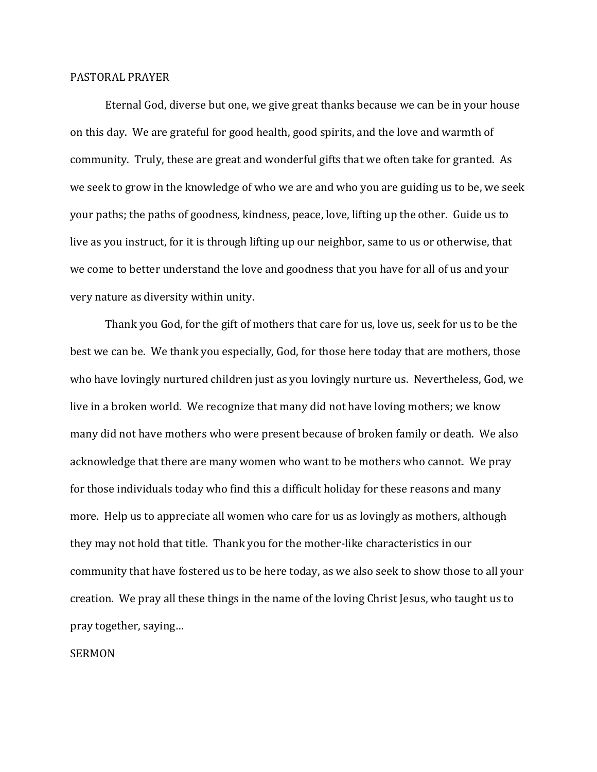## PASTORAL PRAYER

 Eternal God, diverse but one, we give great thanks because we can be in your house on this day. We are grateful for good health, good spirits, and the love and warmth of community. Truly, these are great and wonderful gifts that we often take for granted. As we seek to grow in the knowledge of who we are and who you are guiding us to be, we seek your paths; the paths of goodness, kindness, peace, love, lifting up the other. Guide us to live as you instruct, for it is through lifting up our neighbor, same to us or otherwise, that we come to better understand the love and goodness that you have for all of us and your very nature as diversity within unity.

 Thank you God, for the gift of mothers that care for us, love us, seek for us to be the best we can be. We thank you especially, God, for those here today that are mothers, those who have lovingly nurtured children just as you lovingly nurture us. Nevertheless, God, we live in a broken world. We recognize that many did not have loving mothers; we know many did not have mothers who were present because of broken family or death. We also acknowledge that there are many women who want to be mothers who cannot. We pray for those individuals today who find this a difficult holiday for these reasons and many more. Help us to appreciate all women who care for us as lovingly as mothers, although they may not hold that title. Thank you for the mother-like characteristics in our community that have fostered us to be here today, as we also seek to show those to all your creation. We pray all these things in the name of the loving Christ Jesus, who taught us to pray together, saying…

## SERMON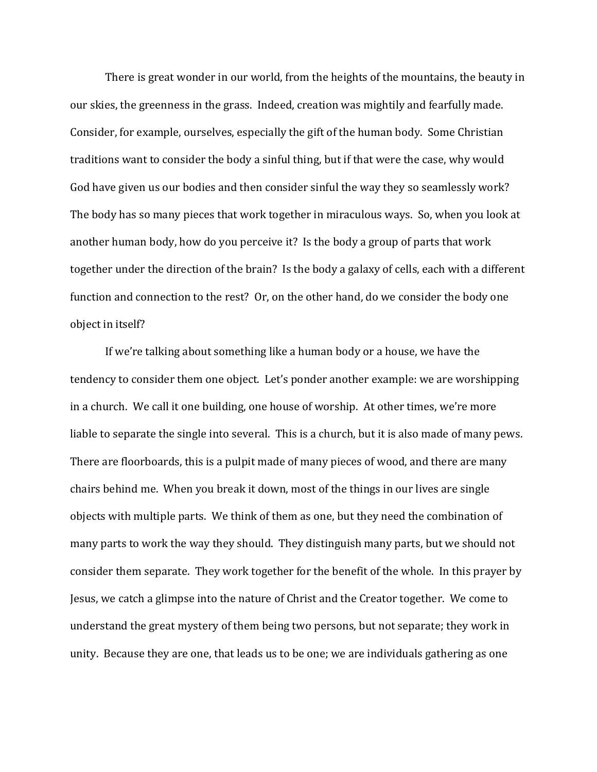There is great wonder in our world, from the heights of the mountains, the beauty in our skies, the greenness in the grass. Indeed, creation was mightily and fearfully made. Consider, for example, ourselves, especially the gift of the human body. Some Christian traditions want to consider the body a sinful thing, but if that were the case, why would God have given us our bodies and then consider sinful the way they so seamlessly work? The body has so many pieces that work together in miraculous ways. So, when you look at another human body, how do you perceive it? Is the body a group of parts that work together under the direction of the brain? Is the body a galaxy of cells, each with a different function and connection to the rest? Or, on the other hand, do we consider the body one object in itself?

 If we're talking about something like a human body or a house, we have the tendency to consider them one object. Let's ponder another example: we are worshipping in a church. We call it one building, one house of worship. At other times, we're more liable to separate the single into several. This is a church, but it is also made of many pews. There are floorboards, this is a pulpit made of many pieces of wood, and there are many chairs behind me. When you break it down, most of the things in our lives are single objects with multiple parts. We think of them as one, but they need the combination of many parts to work the way they should. They distinguish many parts, but we should not consider them separate. They work together for the benefit of the whole. In this prayer by Jesus, we catch a glimpse into the nature of Christ and the Creator together. We come to understand the great mystery of them being two persons, but not separate; they work in unity. Because they are one, that leads us to be one; we are individuals gathering as one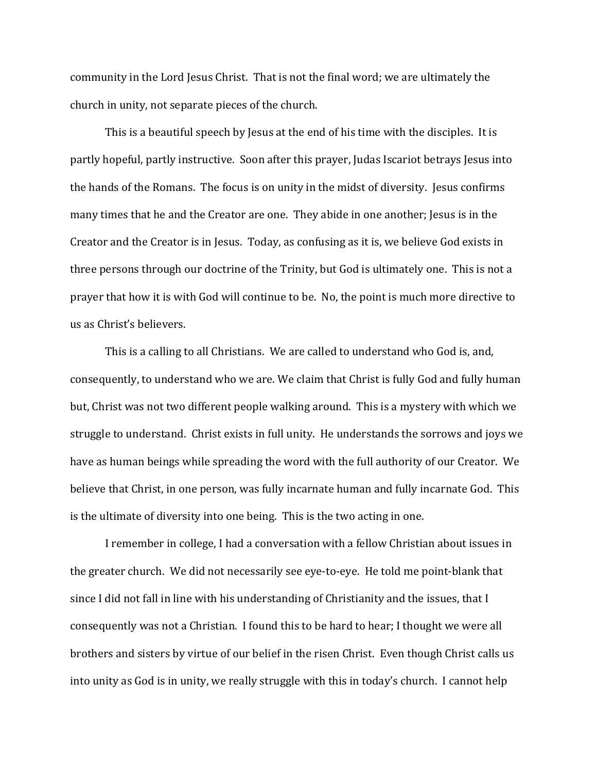community in the Lord Jesus Christ. That is not the final word; we are ultimately the church in unity, not separate pieces of the church.

 This is a beautiful speech by Jesus at the end of his time with the disciples. It is partly hopeful, partly instructive. Soon after this prayer, Judas Iscariot betrays Jesus into the hands of the Romans. The focus is on unity in the midst of diversity. Jesus confirms many times that he and the Creator are one. They abide in one another; Jesus is in the Creator and the Creator is in Jesus. Today, as confusing as it is, we believe God exists in three persons through our doctrine of the Trinity, but God is ultimately one. This is not a prayer that how it is with God will continue to be. No, the point is much more directive to us as Christ's believers.

 This is a calling to all Christians. We are called to understand who God is, and, consequently, to understand who we are. We claim that Christ is fully God and fully human but, Christ was not two different people walking around. This is a mystery with which we struggle to understand. Christ exists in full unity. He understands the sorrows and joys we have as human beings while spreading the word with the full authority of our Creator. We believe that Christ, in one person, was fully incarnate human and fully incarnate God. This is the ultimate of diversity into one being. This is the two acting in one.

 I remember in college, I had a conversation with a fellow Christian about issues in the greater church. We did not necessarily see eye-to-eye. He told me point-blank that since I did not fall in line with his understanding of Christianity and the issues, that I consequently was not a Christian. I found this to be hard to hear; I thought we were all brothers and sisters by virtue of our belief in the risen Christ. Even though Christ calls us into unity as God is in unity, we really struggle with this in today's church. I cannot help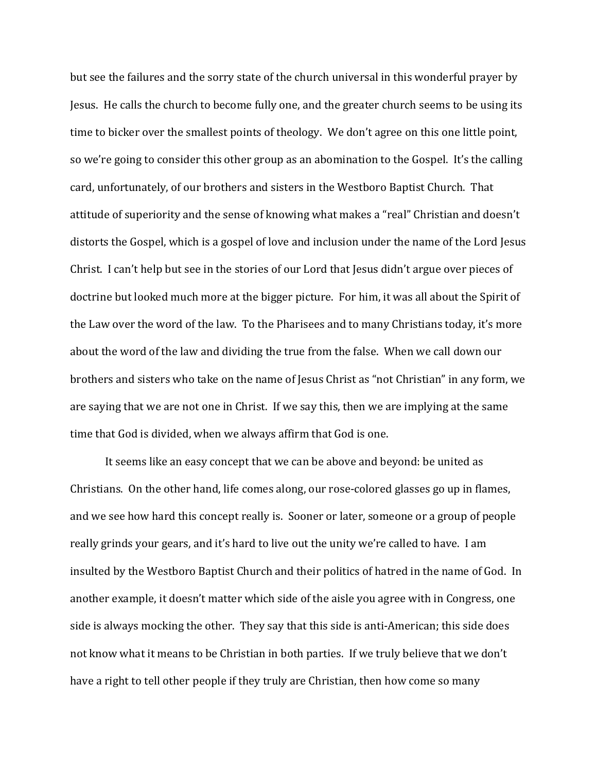but see the failures and the sorry state of the church universal in this wonderful prayer by Jesus. He calls the church to become fully one, and the greater church seems to be using its time to bicker over the smallest points of theology. We don't agree on this one little point, so we're going to consider this other group as an abomination to the Gospel. It's the calling card, unfortunately, of our brothers and sisters in the Westboro Baptist Church. That attitude of superiority and the sense of knowing what makes a "real" Christian and doesn't distorts the Gospel, which is a gospel of love and inclusion under the name of the Lord Jesus Christ. I can't help but see in the stories of our Lord that Jesus didn't argue over pieces of doctrine but looked much more at the bigger picture. For him, it was all about the Spirit of the Law over the word of the law. To the Pharisees and to many Christians today, it's more about the word of the law and dividing the true from the false. When we call down our brothers and sisters who take on the name of Jesus Christ as "not Christian" in any form, we are saying that we are not one in Christ. If we say this, then we are implying at the same time that God is divided, when we always affirm that God is one.

It seems like an easy concept that we can be above and beyond: be united as Christians. On the other hand, life comes along, our rose-colored glasses go up in flames, and we see how hard this concept really is. Sooner or later, someone or a group of people really grinds your gears, and it's hard to live out the unity we're called to have. I am insulted by the Westboro Baptist Church and their politics of hatred in the name of God. In another example, it doesn't matter which side of the aisle you agree with in Congress, one side is always mocking the other. They say that this side is anti-American; this side does not know what it means to be Christian in both parties. If we truly believe that we don't have a right to tell other people if they truly are Christian, then how come so many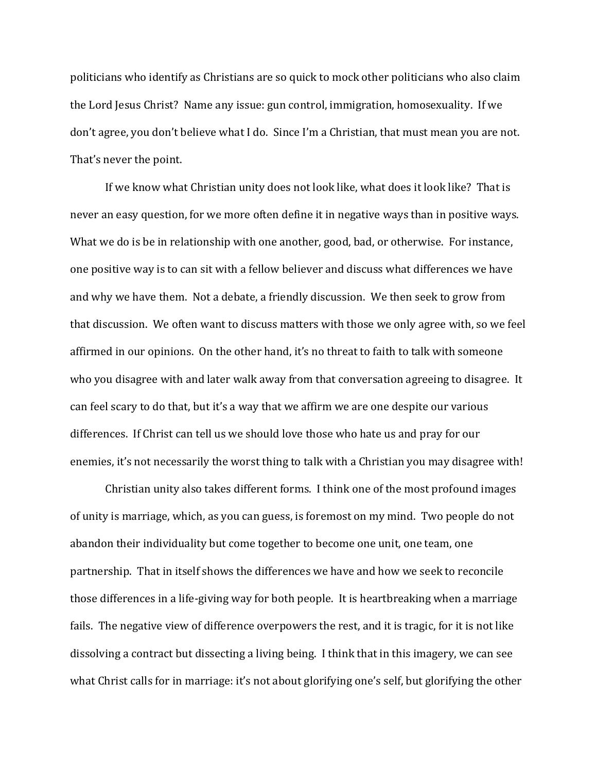politicians who identify as Christians are so quick to mock other politicians who also claim the Lord Jesus Christ? Name any issue: gun control, immigration, homosexuality. If we don't agree, you don't believe what I do. Since I'm a Christian, that must mean you are not. That's never the point.

If we know what Christian unity does not look like, what does it look like? That is never an easy question, for we more often define it in negative ways than in positive ways. What we do is be in relationship with one another, good, bad, or otherwise. For instance, one positive way is to can sit with a fellow believer and discuss what differences we have and why we have them. Not a debate, a friendly discussion. We then seek to grow from that discussion. We often want to discuss matters with those we only agree with, so we feel affirmed in our opinions. On the other hand, it's no threat to faith to talk with someone who you disagree with and later walk away from that conversation agreeing to disagree. It can feel scary to do that, but it's a way that we affirm we are one despite our various differences. If Christ can tell us we should love those who hate us and pray for our enemies, it's not necessarily the worst thing to talk with a Christian you may disagree with!

Christian unity also takes different forms. I think one of the most profound images of unity is marriage, which, as you can guess, is foremost on my mind. Two people do not abandon their individuality but come together to become one unit, one team, one partnership. That in itself shows the differences we have and how we seek to reconcile those differences in a life-giving way for both people. It is heartbreaking when a marriage fails. The negative view of difference overpowers the rest, and it is tragic, for it is not like dissolving a contract but dissecting a living being. I think that in this imagery, we can see what Christ calls for in marriage: it's not about glorifying one's self, but glorifying the other